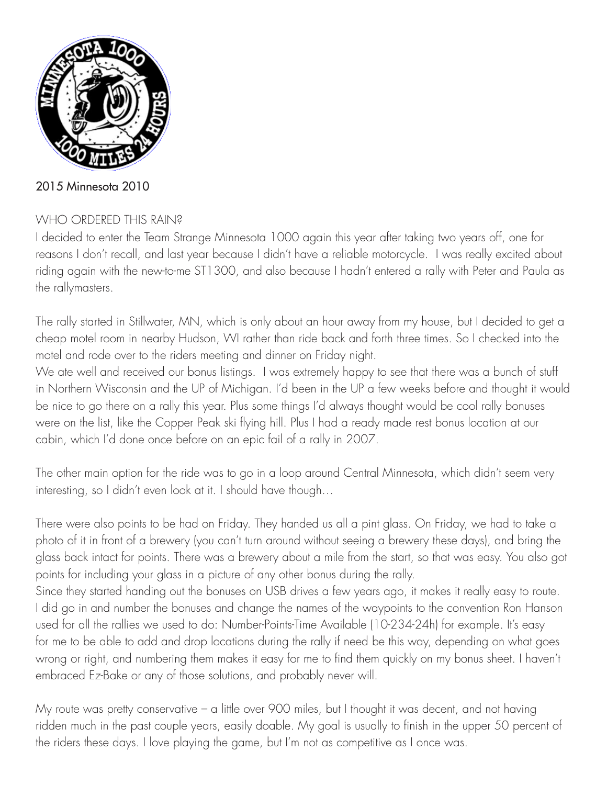

2015 Minnesota 2010

# WHO ORDERED THIS RAIN?

I decided to enter the Team Strange Minnesota 1000 again this year after taking two years off, one for reasons I don't recall, and last year because I didn't have a reliable motorcycle. I was really excited about riding again with the new-to-me ST1300, and also because I hadn't entered a rally with Peter and Paula as the rallymasters.

The rally started in Stillwater, MN, which is only about an hour away from my house, but I decided to get a cheap motel room in nearby Hudson, WI rather than ride back and forth three times. So I checked into the motel and rode over to the riders meeting and dinner on Friday night.

We ate well and received our bonus listings. I was extremely happy to see that there was a bunch of stuff in Northern Wisconsin and the UP of Michigan. I'd been in the UP a few weeks before and thought it would be nice to go there on a rally this year. Plus some things I'd always thought would be cool rally bonuses were on the list, like the Copper Peak ski flying hill. Plus I had a ready made rest bonus location at our cabin, which I'd done once before on an epic fail of a rally in 2007.

The other main option for the ride was to go in a loop around Central Minnesota, which didn't seem very interesting, so I didn't even look at it. I should have though…

There were also points to be had on Friday. They handed us all a pint glass. On Friday, we had to take a photo of it in front of a brewery (you can't turn around without seeing a brewery these days), and bring the glass back intact for points. There was a brewery about a mile from the start, so that was easy. You also got points for including your glass in a picture of any other bonus during the rally.

Since they started handing out the bonuses on USB drives a few years ago, it makes it really easy to route. I did go in and number the bonuses and change the names of the waypoints to the convention Ron Hanson used for all the rallies we used to do: Number-Points-Time Available (10-234-24h) for example. It's easy for me to be able to add and drop locations during the rally if need be this way, depending on what goes wrong or right, and numbering them makes it easy for me to find them quickly on my bonus sheet. I haven't embraced Ez-Bake or any of those solutions, and probably never will.

My route was pretty conservative – a little over 900 miles, but I thought it was decent, and not having ridden much in the past couple years, easily doable. My goal is usually to finish in the upper 50 percent of the riders these days. I love playing the game, but I'm not as competitive as I once was.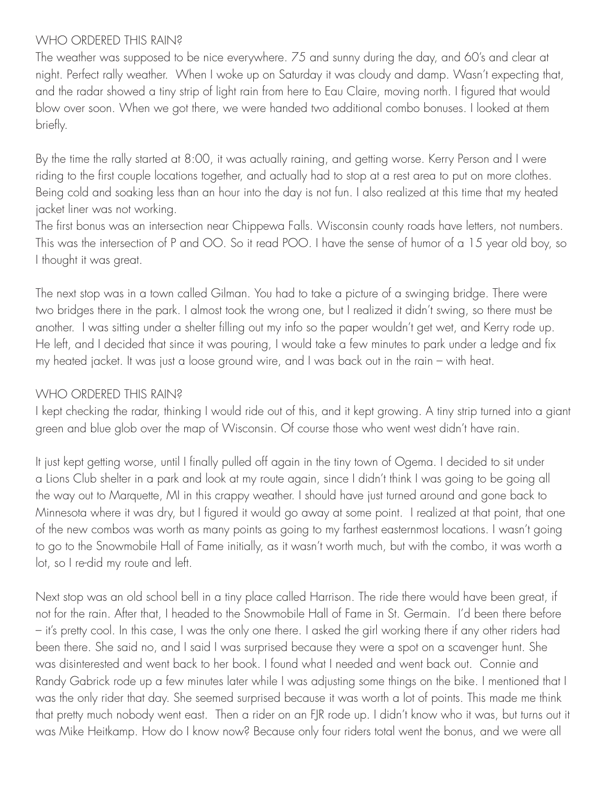#### WHO ORDERED THIS RAIN?

The weather was supposed to be nice everywhere. 75 and sunny during the day, and 60's and clear at night. Perfect rally weather. When I woke up on Saturday it was cloudy and damp. Wasn't expecting that, and the radar showed a tiny strip of light rain from here to Eau Claire, moving north. I figured that would blow over soon. When we got there, we were handed two additional combo bonuses. I looked at them briefly.

By the time the rally started at 8:00, it was actually raining, and getting worse. Kerry Person and I were riding to the first couple locations together, and actually had to stop at a rest area to put on more clothes. Being cold and soaking less than an hour into the day is not fun. I also realized at this time that my heated jacket liner was not working.

The first bonus was an intersection near Chippewa Falls. Wisconsin county roads have letters, not numbers. This was the intersection of P and OO. So it read POO. I have the sense of humor of a 15 year old boy, so I thought it was great.

The next stop was in a town called Gilman. You had to take a picture of a swinging bridge. There were two bridges there in the park. I almost took the wrong one, but I realized it didn't swing, so there must be another. I was sitting under a shelter filling out my info so the paper wouldn't get wet, and Kerry rode up. He left, and I decided that since it was pouring, I would take a few minutes to park under a ledge and fix my heated jacket. It was just a loose ground wire, and I was back out in the rain – with heat.

### WHO ORDERED THIS RAIN?

I kept checking the radar, thinking I would ride out of this, and it kept growing. A tiny strip turned into a giant green and blue glob over the map of Wisconsin. Of course those who went west didn't have rain.

It just kept getting worse, until I finally pulled off again in the tiny town of Ogema. I decided to sit under a Lions Club shelter in a park and look at my route again, since I didn't think I was going to be going all the way out to Marquette, MI in this crappy weather. I should have just turned around and gone back to Minnesota where it was dry, but I figured it would go away at some point. I realized at that point, that one of the new combos was worth as many points as going to my farthest easternmost locations. I wasn't going to go to the Snowmobile Hall of Fame initially, as it wasn't worth much, but with the combo, it was worth a lot, so I re-did my route and left.

Next stop was an old school bell in a tiny place called Harrison. The ride there would have been great, if not for the rain. After that, I headed to the Snowmobile Hall of Fame in St. Germain. I'd been there before – it's pretty cool. In this case, I was the only one there. I asked the girl working there if any other riders had been there. She said no, and I said I was surprised because they were a spot on a scavenger hunt. She was disinterested and went back to her book. I found what I needed and went back out. Connie and Randy Gabrick rode up a few minutes later while I was adjusting some things on the bike. I mentioned that I was the only rider that day. She seemed surprised because it was worth a lot of points. This made me think that pretty much nobody went east. Then a rider on an FJR rode up. I didn't know who it was, but turns out it was Mike Heitkamp. How do I know now? Because only four riders total went the bonus, and we were all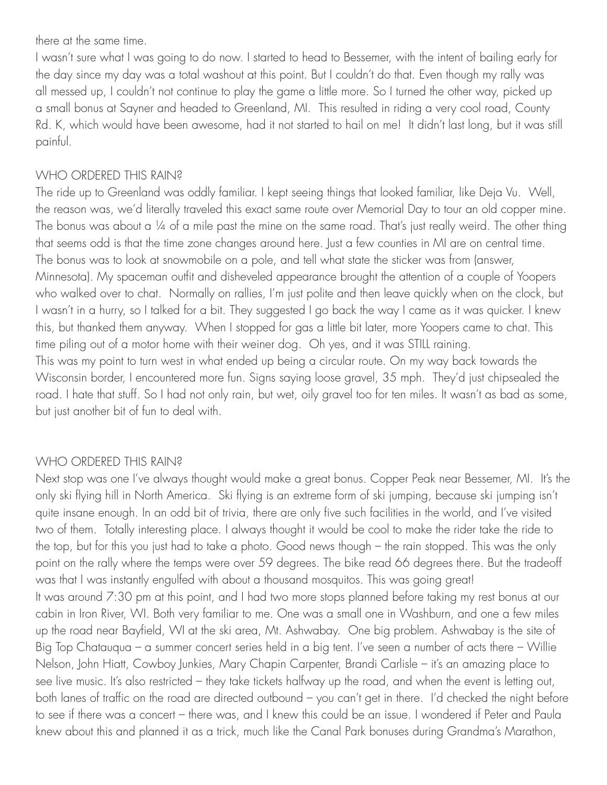there at the same time.

I wasn't sure what I was going to do now. I started to head to Bessemer, with the intent of bailing early for the day since my day was a total washout at this point. But I couldn't do that. Even though my rally was all messed up, I couldn't not continue to play the game a little more. So I turned the other way, picked up a small bonus at Sayner and headed to Greenland, MI. This resulted in riding a very cool road, County Rd. K, which would have been awesome, had it not started to hail on me! It didn't last long, but it was still painful.

## WHO ORDERED THIS RAIN?

The ride up to Greenland was oddly familiar. I kept seeing things that looked familiar, like Deja Vu. Well, the reason was, we'd literally traveled this exact same route over Memorial Day to tour an old copper mine. The bonus was about a 1/4 of a mile past the mine on the same road. That's just really weird. The other thing that seems odd is that the time zone changes around here. Just a few counties in MI are on central time. The bonus was to look at snowmobile on a pole, and tell what state the sticker was from (answer, Minnesota). My spaceman outfit and disheveled appearance brought the attention of a couple of Yoopers who walked over to chat. Normally on rallies, I'm just polite and then leave quickly when on the clock, but I wasn't in a hurry, so I talked for a bit. They suggested I go back the way I came as it was quicker. I knew this, but thanked them anyway. When I stopped for gas a little bit later, more Yoopers came to chat. This time piling out of a motor home with their weiner dog. Oh yes, and it was STILL raining. This was my point to turn west in what ended up being a circular route. On my way back towards the Wisconsin border, I encountered more fun. Signs saying loose gravel, 35 mph. They'd just chipsealed the road. I hate that stuff. So I had not only rain, but wet, oily gravel too for ten miles. It wasn't as bad as some, but just another bit of fun to deal with.

### WHO ORDERED THIS RAIN?

Next stop was one I've always thought would make a great bonus. Copper Peak near Bessemer, MI. It's the only ski flying hill in North America. Ski flying is an extreme form of ski jumping, because ski jumping isn't quite insane enough. In an odd bit of trivia, there are only five such facilities in the world, and I've visited two of them. Totally interesting place. I always thought it would be cool to make the rider take the ride to the top, but for this you just had to take a photo. Good news though – the rain stopped. This was the only point on the rally where the temps were over 59 degrees. The bike read 66 degrees there. But the tradeoff was that I was instantly engulfed with about a thousand mosquitos. This was going great! It was around 7:30 pm at this point, and I had two more stops planned before taking my rest bonus at our cabin in Iron River, WI. Both very familiar to me. One was a small one in Washburn, and one a few miles up the road near Bayfield, WI at the ski area, Mt. Ashwabay. One big problem. Ashwabay is the site of Big Top Chatauqua – a summer concert series held in a big tent. I've seen a number of acts there – Willie Nelson, John Hiatt, Cowboy Junkies, Mary Chapin Carpenter, Brandi Carlisle – it's an amazing place to see live music. It's also restricted – they take tickets halfway up the road, and when the event is letting out, both lanes of traffic on the road are directed outbound – you can't get in there. I'd checked the night before to see if there was a concert – there was, and I knew this could be an issue. I wondered if Peter and Paula knew about this and planned it as a trick, much like the Canal Park bonuses during Grandma's Marathon,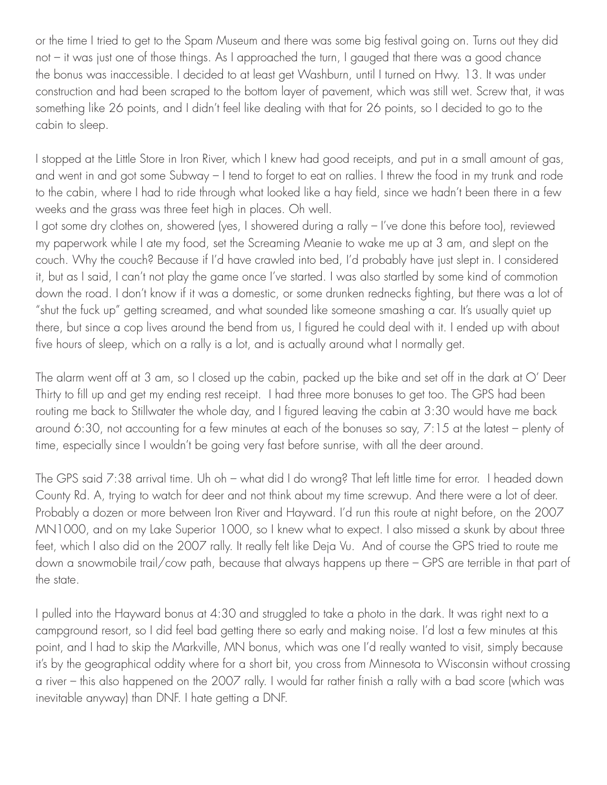or the time I tried to get to the Spam Museum and there was some big festival going on. Turns out they did not – it was just one of those things. As I approached the turn, I gauged that there was a good chance the bonus was inaccessible. I decided to at least get Washburn, until I turned on Hwy. 13. It was under construction and had been scraped to the bottom layer of pavement, which was still wet. Screw that, it was something like 26 points, and I didn't feel like dealing with that for 26 points, so I decided to go to the cabin to sleep.

I stopped at the Little Store in Iron River, which I knew had good receipts, and put in a small amount of gas, and went in and got some Subway – I tend to forget to eat on rallies. I threw the food in my trunk and rode to the cabin, where I had to ride through what looked like a hay field, since we hadn't been there in a few weeks and the grass was three feet high in places. Oh well.

I got some dry clothes on, showered (yes, I showered during a rally – I've done this before too), reviewed my paperwork while I ate my food, set the Screaming Meanie to wake me up at 3 am, and slept on the couch. Why the couch? Because if I'd have crawled into bed, I'd probably have just slept in. I considered it, but as I said, I can't not play the game once I've started. I was also startled by some kind of commotion down the road. I don't know if it was a domestic, or some drunken rednecks fighting, but there was a lot of "shut the fuck up" getting screamed, and what sounded like someone smashing a car. It's usually quiet up there, but since a cop lives around the bend from us, I figured he could deal with it. I ended up with about five hours of sleep, which on a rally is a lot, and is actually around what I normally get.

The alarm went off at 3 am, so I closed up the cabin, packed up the bike and set off in the dark at O' Deer Thirty to fill up and get my ending rest receipt. I had three more bonuses to get too. The GPS had been routing me back to Stillwater the whole day, and I figured leaving the cabin at 3:30 would have me back around 6:30, not accounting for a few minutes at each of the bonuses so say, 7:15 at the latest – plenty of time, especially since I wouldn't be going very fast before sunrise, with all the deer around.

The GPS said 7:38 arrival time. Uh oh – what did I do wrong? That left little time for error. I headed down County Rd. A, trying to watch for deer and not think about my time screwup. And there were a lot of deer. Probably a dozen or more between Iron River and Hayward. I'd run this route at night before, on the 2007 MN1000, and on my Lake Superior 1000, so I knew what to expect. I also missed a skunk by about three feet, which I also did on the 2007 rally. It really felt like Deja Vu. And of course the GPS tried to route me down a snowmobile trail/cow path, because that always happens up there – GPS are terrible in that part of the state.

I pulled into the Hayward bonus at 4:30 and struggled to take a photo in the dark. It was right next to a campground resort, so I did feel bad getting there so early and making noise. I'd lost a few minutes at this point, and I had to skip the Markville, MN bonus, which was one I'd really wanted to visit, simply because it's by the geographical oddity where for a short bit, you cross from Minnesota to Wisconsin without crossing a river – this also happened on the 2007 rally. I would far rather finish a rally with a bad score (which was inevitable anyway) than DNF. I hate getting a DNF.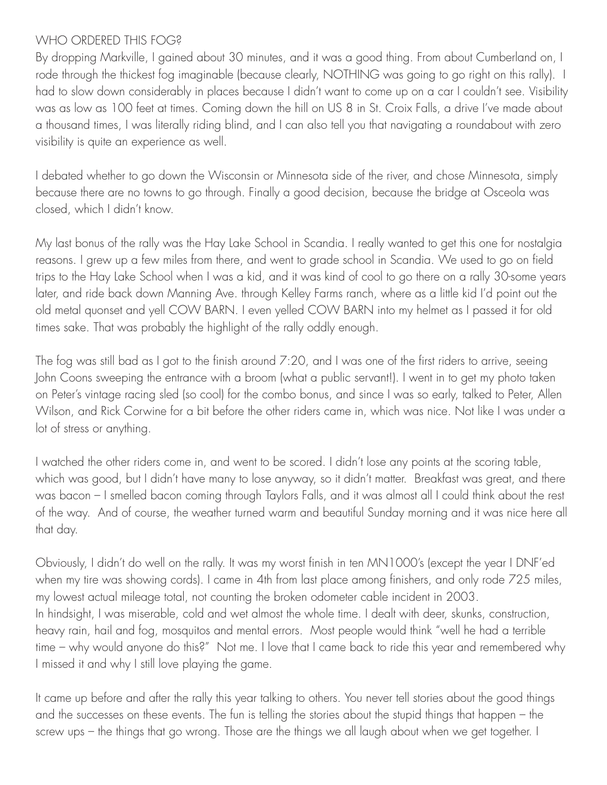### WHO ORDERED THIS FOG?

By dropping Markville, I gained about 30 minutes, and it was a good thing. From about Cumberland on, I rode through the thickest fog imaginable (because clearly, NOTHING was going to go right on this rally). I had to slow down considerably in places because I didn't want to come up on a car I couldn't see. Visibility was as low as 100 feet at times. Coming down the hill on US 8 in St. Croix Falls, a drive I've made about a thousand times, I was literally riding blind, and I can also tell you that navigating a roundabout with zero visibility is quite an experience as well.

I debated whether to go down the Wisconsin or Minnesota side of the river, and chose Minnesota, simply because there are no towns to go through. Finally a good decision, because the bridge at Osceola was closed, which I didn't know.

My last bonus of the rally was the Hay Lake School in Scandia. I really wanted to get this one for nostalgia reasons. I grew up a few miles from there, and went to grade school in Scandia. We used to go on field trips to the Hay Lake School when I was a kid, and it was kind of cool to go there on a rally 30-some years later, and ride back down Manning Ave. through Kelley Farms ranch, where as a little kid I'd point out the old metal quonset and yell COW BARN. I even yelled COW BARN into my helmet as I passed it for old times sake. That was probably the highlight of the rally oddly enough.

The fog was still bad as I got to the finish around 7:20, and I was one of the first riders to arrive, seeing John Coons sweeping the entrance with a broom (what a public servant!). I went in to get my photo taken on Peter's vintage racing sled (so cool) for the combo bonus, and since I was so early, talked to Peter, Allen Wilson, and Rick Corwine for a bit before the other riders came in, which was nice. Not like I was under a lot of stress or anything.

I watched the other riders come in, and went to be scored. I didn't lose any points at the scoring table, which was good, but I didn't have many to lose anyway, so it didn't matter. Breakfast was great, and there was bacon – I smelled bacon coming through Taylors Falls, and it was almost all I could think about the rest of the way. And of course, the weather turned warm and beautiful Sunday morning and it was nice here all that day.

Obviously, I didn't do well on the rally. It was my worst finish in ten MN1000's (except the year I DNF'ed when my tire was showing cords). I came in 4th from last place among finishers, and only rode 725 miles, my lowest actual mileage total, not counting the broken odometer cable incident in 2003. In hindsight, I was miserable, cold and wet almost the whole time. I dealt with deer, skunks, construction, heavy rain, hail and fog, mosquitos and mental errors. Most people would think "well he had a terrible time – why would anyone do this?" Not me. I love that I came back to ride this year and remembered why I missed it and why I still love playing the game.

It came up before and after the rally this year talking to others. You never tell stories about the good things and the successes on these events. The fun is telling the stories about the stupid things that happen – the screw ups – the things that go wrong. Those are the things we all laugh about when we get together. I